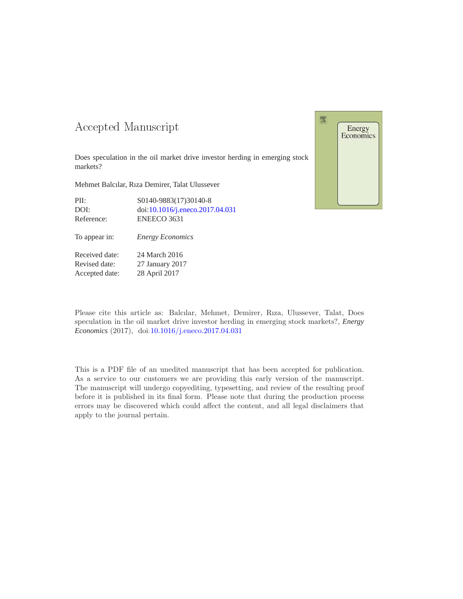### -- -

Does speculation in the oil market drive investor herding in emerging stock markets?

Mehmet Balcılar, Rıza Demirer, Talat Ulussever

| PII:       | S0140-9883(17)30140-8           |
|------------|---------------------------------|
| DOI:       | doi:10.1016/j.eneco.2017.04.031 |
| Reference: | ENEECO 3631                     |



Received date: 24 March 2016 Revised date: 27 January 2017 Accepted date: 28 April 2017

Please cite this article as: Balcılar, Mehmet, Demirer, Rıza, Ulussever, Talat, Does speculation in the oil market drive investor herding in emerging stock markets?, *Energy Economics* (2017), doi[:10.1016/j.eneco.2017.04.031](http://dx.doi.org/10.1016/j.eneco.2017.04.031)

This is a PDF file of an unedited manuscript that has been accepted for publication. As a service to our customers we are providing this early version of the manuscript. The manuscript will undergo copyediting, typesetting, and review of the resulting proof before it is published in its final form. Please note that during the production process errors may be discovered which could affect the content, and all legal disclaimers that apply to the journal pertain.

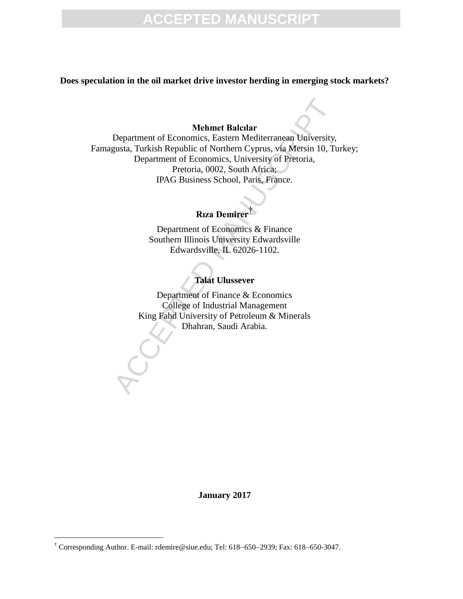# **ACCEPTED MANUSCRIPT**

**Does speculation in the oil market drive investor herding in emerging stock markets?**

#### **Mehmet Balcılar**

Mehmet Balcılar<br>
Mehmet Balcılar<br>
Department of Economics, Eastern Mediterranean University,<br>
gusta, Turkish Republic of Northern Cyprus, via Mersin 10, Tu<br>
Department of Economics, University of Pretoria,<br>
PRAG Business S Department of Economics, Eastern Mediterranean University, Famagusta, Turkish Republic of Northern Cyprus, via Mersin 10, Turkey; Department of Economics, University of Pretoria, Pretoria, 0002, South Africa; IPAG Business School, Paris, France.

## **Rıza Demirer**†

Department of Economics & Finance Southern Illinois University Edwardsville Edwardsville, IL 62026-1102.

#### **Talat Ulussever**

Department of Finance & Economics College of Industrial Management King Fahd University of Petroleum & Minerals Dhahran, Saudi Arabia.

**January 2017**

 $\overline{a}$ 

 $\dagger$  Corresponding Author. E-mail: rdemire@siue.edu; Tel: 618-650-2939; Fax: 618-650-3047.